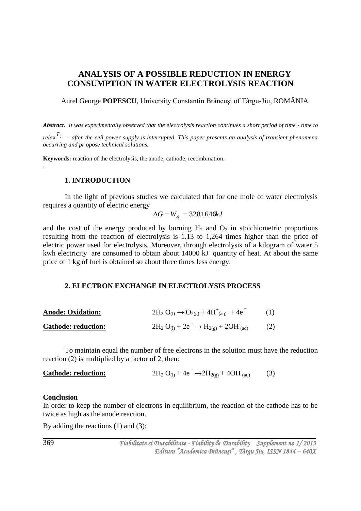# **ANALYSIS OF A POSSIBLE REDUCTION IN ENERGY CONSUMPTION IN WATER ELECTROLYSIS REACTION**

Aurel George **POPESCU**, University Constantin Brâncuşi of Târgu-Jiu, ROMÂNIA

*Abstract. It was experimentally observed that the electrolysis reaction continues a short period of time - time to*  relax<sup>T<sub>c</sub></sup> - after the cell power supply is interrupted. This paper presents an analysis of transient phenomena *occurring and pr opose technical solutions.*

**Keywords:** reaction of the electrolysis, the anode, cathode, recombination.

#### **1. INTRODUCTION**

.

In the light of previous studies we calculated that for one mole of water electrolysis requires a quantity of electric energy

$$
\Delta G = W_{el.} = 328,1646kJ
$$

and the cost of the energy produced by burning  $H_2$  and  $O_2$  in stoichiometric proportions resulting from the reaction of electrolysis is 1.13 to 1,264 times higher than the price of electric power used for electrolysis. Moreover, through electrolysis of a kilogram of water 5 kwh electricity are consumed to obtain about 14000 kJ quantity of heat. At about the same price of 1 kg of fuel is obtained so about three times less energy.

#### **2. ELECTRON EXCHANGE IN ELECTROLYSIS PROCESS**

| <b>Anode: Oxidation:</b>   | $2H_2 O_{(1)} \rightarrow O_{2(g)} + 4H^+_{(aq)} + 4e$  | (1) |
|----------------------------|---------------------------------------------------------|-----|
| <b>Cathode: reduction:</b> | $2H_2 O_{(1)} + 2e^- \rightarrow H_{2(g)} + 2OH_{(aq)}$ | (2) |

To maintain equal the number of free electrons in the solution must have the reduction reaction (2) is multiplied by a factor of 2, then:

**Cathode: reduction:** 
$$
2H_2 O_{(l)} + 4e^- \rightarrow 2H_{2(g)} + 4OH_{(aq)}
$$
 (3)

#### **Conclusion**

In order to keep the number of electrons in equilibrium, the reaction of the cathode has to be twice as high as the anode reaction.

By adding the reactions (1) and (3):

 *Fiabilitate si Durabilitate - Fiability & Durability Supplement no 1/ 2013 Editura "Academica Brâncuşi" , Târgu Jiu, ISSN 1844 – 640X* 

369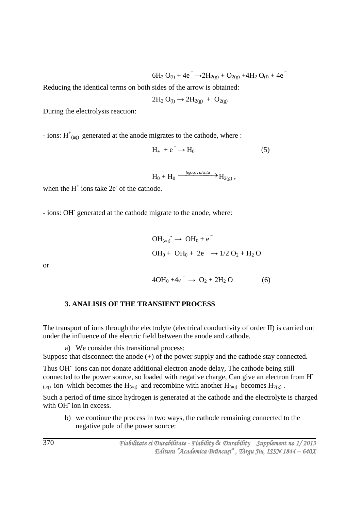$6H_2 O_{(1)} + 4e^ \rightarrow$   $2H_{2(g)} + O_{2(g)} + 4H_2 O_{(1)} + 4e^-$ 

Reducing the identical terms on both sides of the arrow is obtained:

$$
2H_2\ O_{(l)}\to 2H_{2(g)}\ +\ O_{2(g)}
$$

During the electrolysis reaction:

- ions:  $H^{\dagger}_{(aq)}$  generated at the anode migrates to the cathode, where :

$$
H_{+} + e^{-} \rightarrow H_{0} \tag{5}
$$

 $H_0 + H_0 \xrightarrow{leg.cov alenta} H_{2(g)}$ 

when the  $H^+$  ions take  $2e^-$  of the cathode.

- ions: OH-generated at the cathode migrate to the anode, where:

$$
OH_{(aq)}^{\cdot} \to OH_0 + e^{-}
$$
  
 
$$
OH_0 + OH_0 + 2e^{-} \to 1/2 O_2 + H_2 O
$$

or

$$
4OH_0 + 4e^- \to O_2 + 2H_2 O \tag{6}
$$

#### **3. ANALISIS OF THE TRANSIENT PROCESS**

The transport of ions through the electrolyte (electrical conductivity of order II) is carried out under the influence of the electric field between the anode and cathode.

a) We consider this transitional process:

Suppose that disconnect the anode (+) of the power supply and the cathode stay connected.

Thus OH<sup>-</sup> ions can not donate additional electron anode delay, The cathode being still connected to the power source, so loaded with negative charge, Can give an electron from H- (aq) ion which becomes the H(aq) and recombine with another H(aq) becomes H<sub>2(g)</sub>.

Such a period of time since hydrogen is generated at the cathode and the electrolyte is charged with OH ion in excess.

b) we continue the process in two ways, the cathode remaining connected to the negative pole of the power source: